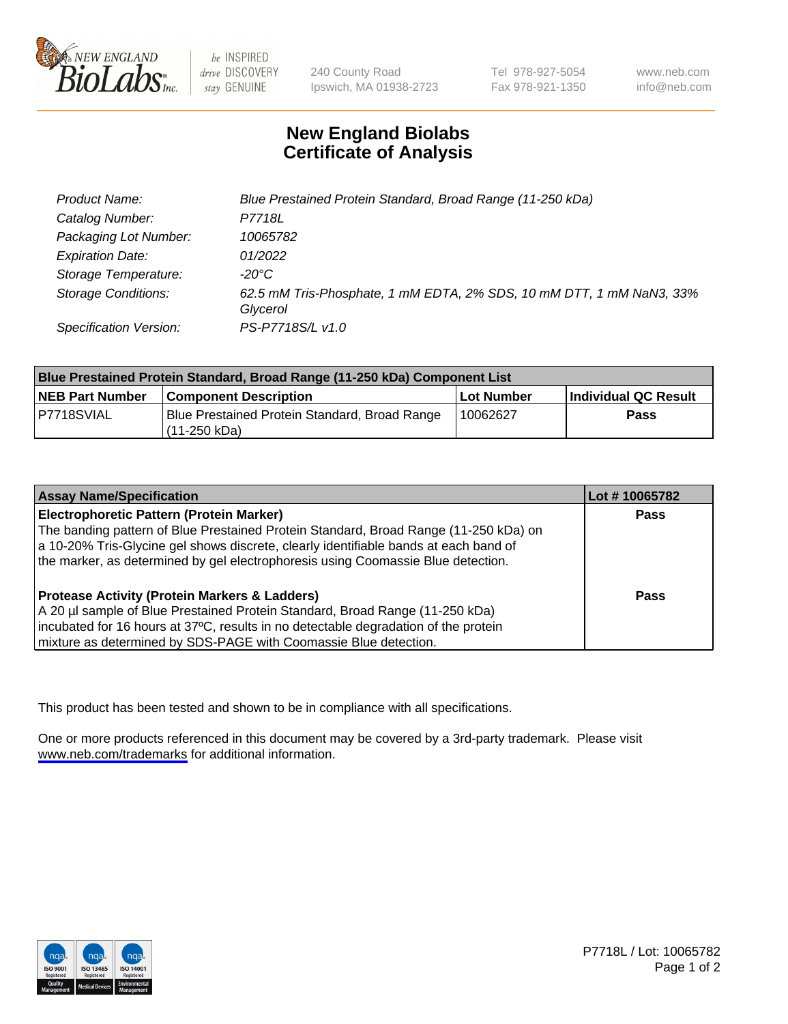

be INSPIRED drive DISCOVERY stay GENUINE

240 County Road Ipswich, MA 01938-2723 Tel 978-927-5054 Fax 978-921-1350

www.neb.com info@neb.com

## **New England Biolabs Certificate of Analysis**

| Product Name:              | Blue Prestained Protein Standard, Broad Range (11-250 kDa)                       |
|----------------------------|----------------------------------------------------------------------------------|
| Catalog Number:            | P7718L                                                                           |
| Packaging Lot Number:      | 10065782                                                                         |
| <b>Expiration Date:</b>    | 01/2022                                                                          |
| Storage Temperature:       | -20°C                                                                            |
| <b>Storage Conditions:</b> | 62.5 mM Tris-Phosphate, 1 mM EDTA, 2% SDS, 10 mM DTT, 1 mM NaN3, 33%<br>Glycerol |
| Specification Version:     | PS-P7718S/L v1.0                                                                 |

| <b>Blue Prestained Protein Standard, Broad Range (11-250 kDa) Component List</b> |                                                                 |              |                      |  |
|----------------------------------------------------------------------------------|-----------------------------------------------------------------|--------------|----------------------|--|
| <b>NEB Part Number</b>                                                           | <b>Component Description</b>                                    | l Lot Number | Individual QC Result |  |
| P7718SVIAL                                                                       | Blue Prestained Protein Standard, Broad Range<br>l (11-250 kDa) | 10062627     | <b>Pass</b>          |  |

| <b>Assay Name/Specification</b>                                                      | Lot #10065782 |
|--------------------------------------------------------------------------------------|---------------|
| <b>Electrophoretic Pattern (Protein Marker)</b>                                      | <b>Pass</b>   |
| The banding pattern of Blue Prestained Protein Standard, Broad Range (11-250 kDa) on |               |
| a 10-20% Tris-Glycine gel shows discrete, clearly identifiable bands at each band of |               |
| the marker, as determined by gel electrophoresis using Coomassie Blue detection.     |               |
|                                                                                      |               |
| <b>Protease Activity (Protein Markers &amp; Ladders)</b>                             | <b>Pass</b>   |
| A 20 µl sample of Blue Prestained Protein Standard, Broad Range (11-250 kDa)         |               |
| incubated for 16 hours at 37°C, results in no detectable degradation of the protein  |               |
| mixture as determined by SDS-PAGE with Coomassie Blue detection.                     |               |

This product has been tested and shown to be in compliance with all specifications.

One or more products referenced in this document may be covered by a 3rd-party trademark. Please visit <www.neb.com/trademarks>for additional information.